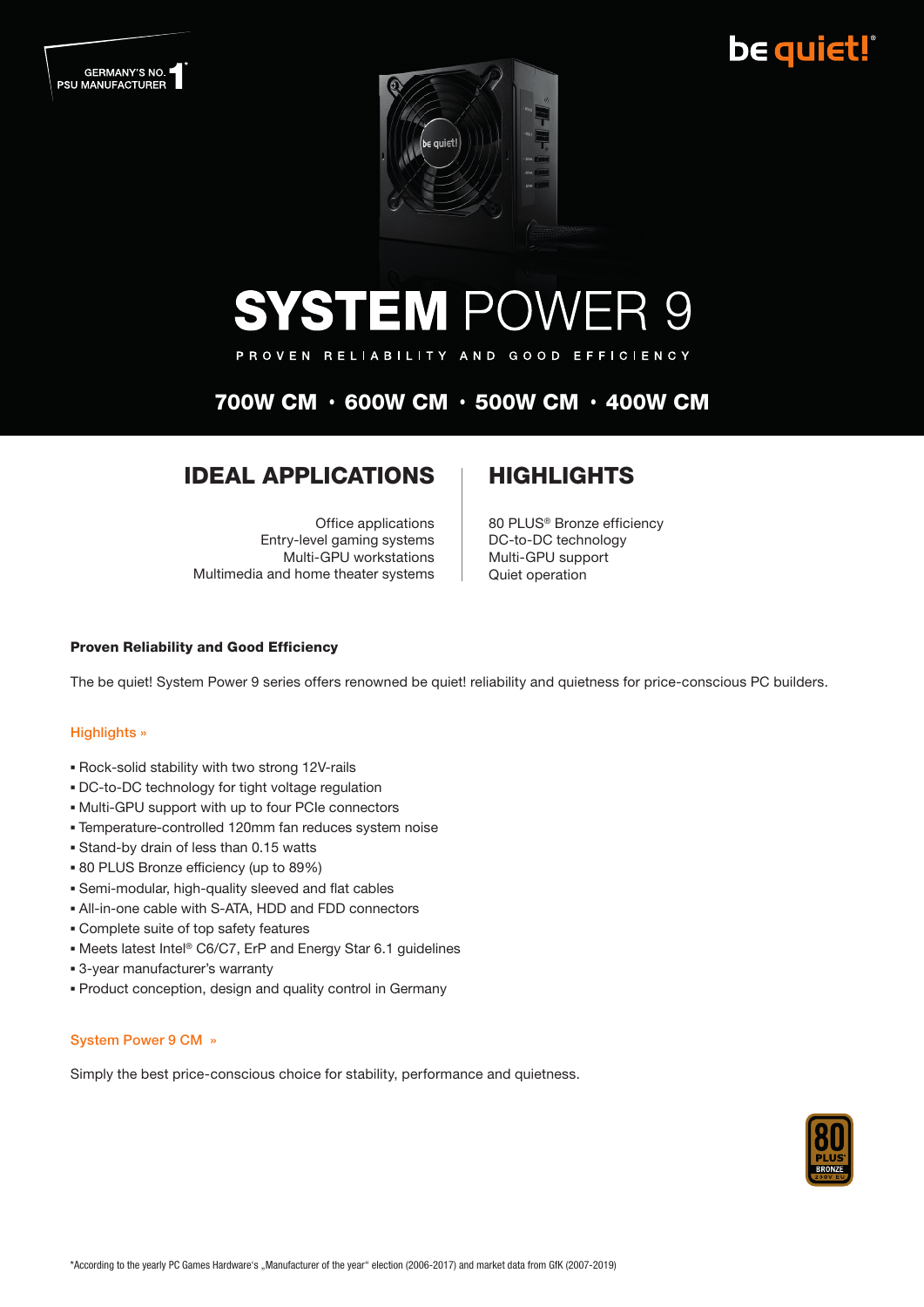## be quiet!





# **SYSTEM POWER 9**

PROVEN RELIABILITY AND GOOD EFFICIENCY

### 700W CM • 600W CM • 500W CM • 400W CM

### **IDEAL APPLICATIONS | HIGHLIGHTS**

Office applications Entry-level gaming systems Multi-GPU workstations Multimedia and home theater systems

80 PLUS® Bronze efficiency DC-to-DC technology Multi-GPU support Quiet operation

#### Proven Reliability and Good Efficiency

The be quiet! System Power 9 series offers renowned be quiet! reliability and quietness for price-conscious PC builders.

#### Highlights »

- Rock-solid stability with two strong 12V-rails
- DC-to-DC technology for tight voltage regulation
- Multi-GPU support with up to four PCIe connectors
- Temperature-controlled 120mm fan reduces system noise
- Stand-by drain of less than 0.15 watts
- 80 PLUS Bronze efficiency (up to 89%)
- Semi-modular, high-quality sleeved and flat cables
- All-in-one cable with S-ATA, HDD and FDD connectors
- Complete suite of top safety features
- Meets latest Intel® C6/C7, ErP and Energy Star 6.1 guidelines
- 3-year manufacturer's warranty
- Product conception, design and quality control in Germany

#### System Power 9 CM »

Simply the best price-conscious choice for stability, performance and quietness.

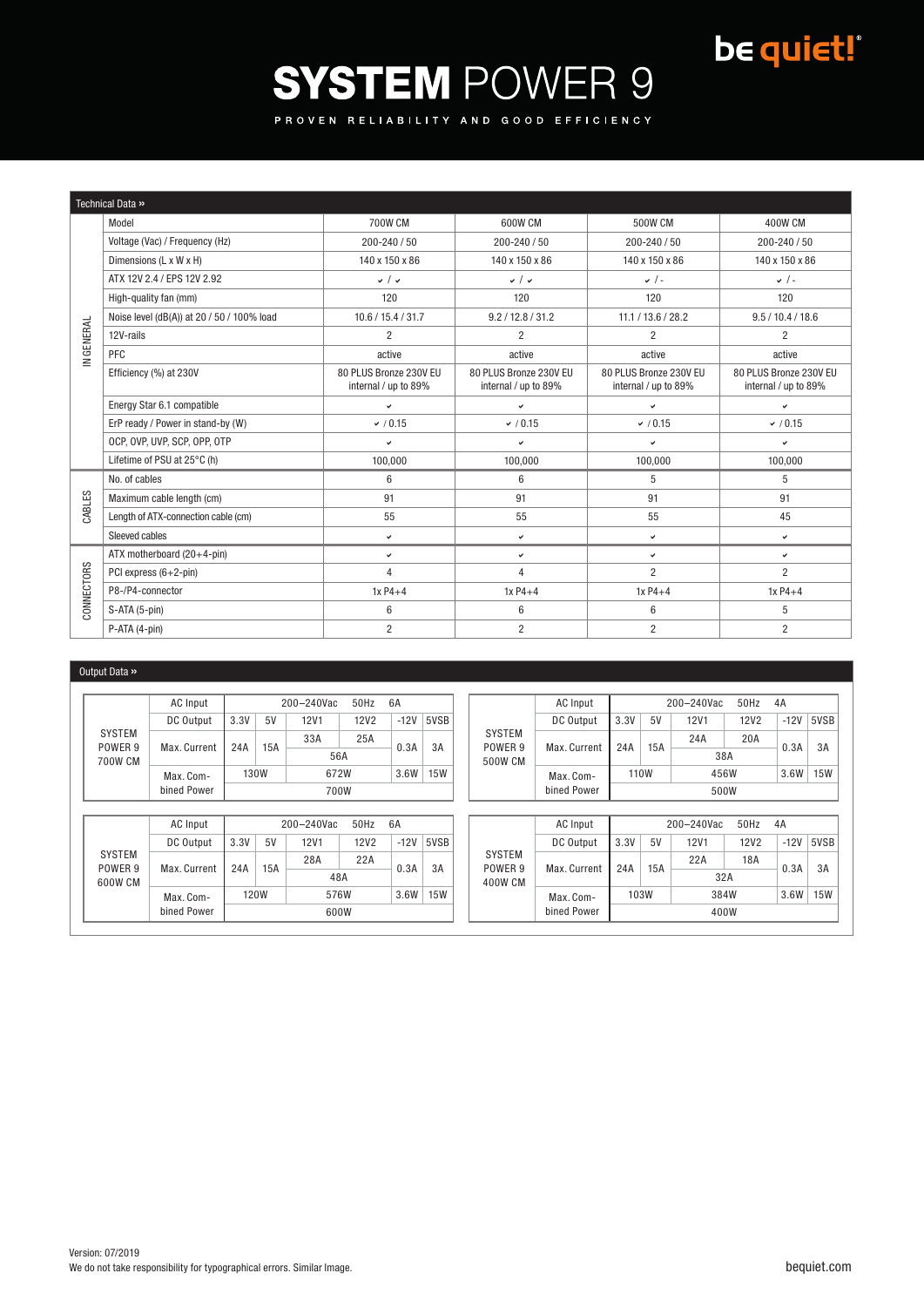## be quiet!

# **SYSTEM POWER 9**

PROVEN RELIABILITY AND GOOD EFFICIENCY

| Technical Data » |                                            |                                                |                                                |                                                |                                                |  |  |  |
|------------------|--------------------------------------------|------------------------------------------------|------------------------------------------------|------------------------------------------------|------------------------------------------------|--|--|--|
| IN GENERAL       | Model                                      | 700W CM                                        | 600W CM                                        | 500W CM                                        | <b>400W CM</b>                                 |  |  |  |
|                  | Voltage (Vac) / Frequency (Hz)             | $200 - 240 / 50$                               | 200-240 / 50                                   | $200 - 240 / 50$                               | $200 - 240 / 50$                               |  |  |  |
|                  | Dimensions (L x W x H)                     | 140 x 150 x 86                                 | 140 x 150 x 86                                 | 140 x 150 x 86                                 | 140 x 150 x 86                                 |  |  |  |
|                  | ATX 12V 2.4 / EPS 12V 2.92                 | $\checkmark$                                   | $\sqrt{2}$                                     | $\checkmark$ / -                               | $\checkmark$ / -                               |  |  |  |
|                  | High-quality fan (mm)                      | 120                                            | 120                                            | 120                                            | 120                                            |  |  |  |
|                  | Noise level (dB(A)) at 20 / 50 / 100% load | 10.6 / 15.4 / 31.7                             | 9.2 / 12.8 / 31.2                              | 11.1 / 13.6 / 28.2                             | 9.5 / 10.4 / 18.6                              |  |  |  |
|                  | 12V-rails                                  | $\overline{2}$                                 | $\overline{2}$                                 | $\overline{2}$                                 | $\overline{2}$                                 |  |  |  |
|                  | PFC                                        | active                                         | active                                         | active                                         | active                                         |  |  |  |
|                  | Efficiency (%) at 230V                     | 80 PLUS Bronze 230V EU<br>internal / up to 89% | 80 PLUS Bronze 230V EU<br>internal / up to 89% | 80 PLUS Bronze 230V EU<br>internal / up to 89% | 80 PLUS Bronze 230V EU<br>internal / up to 89% |  |  |  |
|                  | Energy Star 6.1 compatible                 | v                                              | $\checkmark$                                   | v                                              | $\checkmark$                                   |  |  |  |
|                  | ErP ready / Power in stand-by (W)          | (0.15)                                         | (0.15)                                         | (0.15)                                         | (0.15)                                         |  |  |  |
|                  | OCP, OVP, UVP, SCP, OPP, OTP               | $\checkmark$                                   | $\checkmark$                                   | ✓                                              | $\checkmark$                                   |  |  |  |
|                  | Lifetime of PSU at 25°C (h)                | 100,000                                        | 100,000                                        | 100,000                                        | 100,000                                        |  |  |  |
|                  | No. of cables                              | 6                                              | 6                                              | 5                                              | 5                                              |  |  |  |
| CABLES           | Maximum cable length (cm)                  | 91                                             | 91                                             | 91                                             | 91                                             |  |  |  |
|                  | Length of ATX-connection cable (cm)        | 55                                             | 55                                             | 55                                             | 45                                             |  |  |  |
|                  | Sleeved cables                             | $\checkmark$                                   | v                                              | $\checkmark$                                   | $\checkmark$                                   |  |  |  |
|                  | ATX motherboard (20+4-pin)                 | $\checkmark$                                   | $\checkmark$                                   | ے                                              | $\checkmark$                                   |  |  |  |
| CONNECTORS       | PCI express (6+2-pin)                      | 4                                              | $\overline{4}$                                 | $\overline{2}$                                 | $\overline{2}$                                 |  |  |  |
|                  | P8-/P4-connector                           | $1xP4+4$                                       | $1xP4+4$                                       | $1xP4+4$                                       | $1xP4+4$                                       |  |  |  |
|                  | S-ATA (5-pin)                              | 6                                              | 6                                              | $6\phantom{1}$                                 | 5                                              |  |  |  |
|                  | P-ATA (4-pin)                              | $\overline{2}$                                 | $\overline{2}$                                 | $\overline{2}$                                 | $\overline{2}$                                 |  |  |  |

#### Output Data »

|                                     | AC Input     | 50Hz<br>6A<br>$200 - 240$ Vac |             |             |             |        | AC Input   | 50Hz<br>4A<br>200-240Vac |              |      |     |             |             |        |            |
|-------------------------------------|--------------|-------------------------------|-------------|-------------|-------------|--------|------------|--------------------------|--------------|------|-----|-------------|-------------|--------|------------|
|                                     | DC Output    | 3.3V                          | 5V          | <b>12V1</b> | <b>12V2</b> | $-12V$ | 5VSB       |                          | DC Output    | 3.3V | 5V  | <b>12V1</b> | <b>12V2</b> | $-12V$ | 5VSB       |
| <b>SYSTEM</b><br>POWER <sub>9</sub> |              | 24A                           | 15A         | 33A         | 25A         |        |            | <b>SYSTEM</b><br>POWER 9 |              |      |     | 24A         | 20A         | 0.3A   |            |
| 700W CM                             | Max. Current |                               |             | 56A         | 0.3A        |        | 3A         | 500W CM                  | Max. Current | 24A  | 15A |             | 38A         |        | 3A         |
|                                     | Max. Com-    | 130W<br>672W                  |             | 3.6W        | <b>15W</b>  |        | Max. Com-  | 110W                     |              | 456W |     | 3.6W        | <b>15W</b>  |        |            |
|                                     | bined Power  | 700W                          |             |             |             |        |            | bined Power              | 500W         |      |     |             |             |        |            |
|                                     |              |                               |             |             |             |        |            |                          |              |      |     |             |             |        |            |
|                                     | AC Input     | 50Hz<br>6A<br>200-240Vac      |             |             |             |        | AC Input   | 50Hz<br>4A<br>200-240Vac |              |      |     |             |             |        |            |
|                                     | DC Output    | 3.3V                          | 5V          | <b>12V1</b> | <b>12V2</b> | $-12V$ | 5VSB       |                          | DC Output    | 3.3V | 5V  | <b>12V1</b> | <b>12V2</b> | $-12V$ | 5VSB       |
|                                     |              |                               |             | 28A         | 22A         |        |            | <b>SYSTEM</b>            |              |      |     | 22A         | 18A         |        | 3A         |
| <b>SYSTEM</b>                       |              |                               |             |             |             |        |            |                          |              |      |     |             |             |        |            |
| POWER 9                             | Max. Current | 24A                           | 15A         | 48A         |             | 0.3A   | 3A         | POWER 9                  | Max. Current | 24A  | 15A | 32A         |             | 0.3A   |            |
| 600W CM                             | Max. Com-    |                               | <b>120W</b> | 576W        |             | 3.6W   | <b>15W</b> | 400W CM                  | Max. Com-    | 103W |     | 384W        |             | 3.6W   | <b>15W</b> |